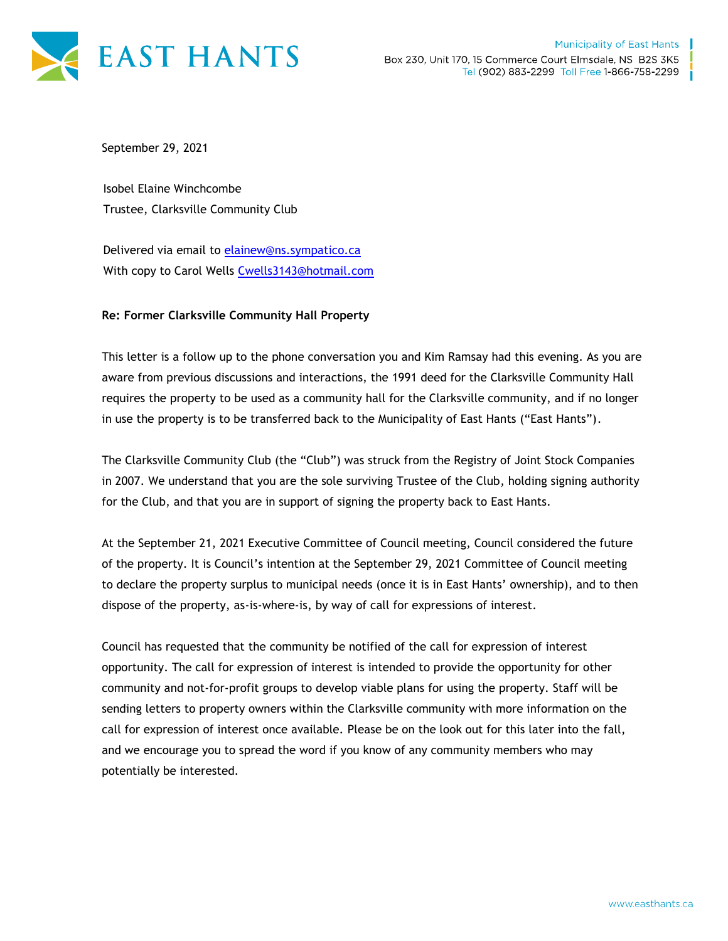

September 29, 2021

Isobel Elaine Winchcombe Trustee, Clarksville Community Club

Delivered via email to [elainew@ns.sympatico.ca](mailto:elainew@ns.sympatico.ca) With copy to Carol Wells [Cwells3143@hotmail.com](mailto:Cwells3143@hotmail.com)

## **Re: Former Clarksville Community Hall Property**

This letter is a follow up to the phone conversation you and Kim Ramsay had this evening. As you are aware from previous discussions and interactions, the 1991 deed for the Clarksville Community Hall requires the property to be used as a community hall for the Clarksville community, and if no longer in use the property is to be transferred back to the Municipality of East Hants ("East Hants").

The Clarksville Community Club (the "Club") was struck from the Registry of Joint Stock Companies in 2007. We understand that you are the sole surviving Trustee of the Club, holding signing authority for the Club, and that you are in support of signing the property back to East Hants.

At the September 21, 2021 Executive Committee of Council meeting, Council considered the future of the property. It is Council's intention at the September 29, 2021 Committee of Council meeting to declare the property surplus to municipal needs (once it is in East Hants' ownership), and to then dispose of the property, as-is-where-is, by way of call for expressions of interest.

Council has requested that the community be notified of the call for expression of interest opportunity. The call for expression of interest is intended to provide the opportunity for other community and not-for-profit groups to develop viable plans for using the property. Staff will be sending letters to property owners within the Clarksville community with more information on the call for expression of interest once available. Please be on the look out for this later into the fall, and we encourage you to spread the word if you know of any community members who may potentially be interested.